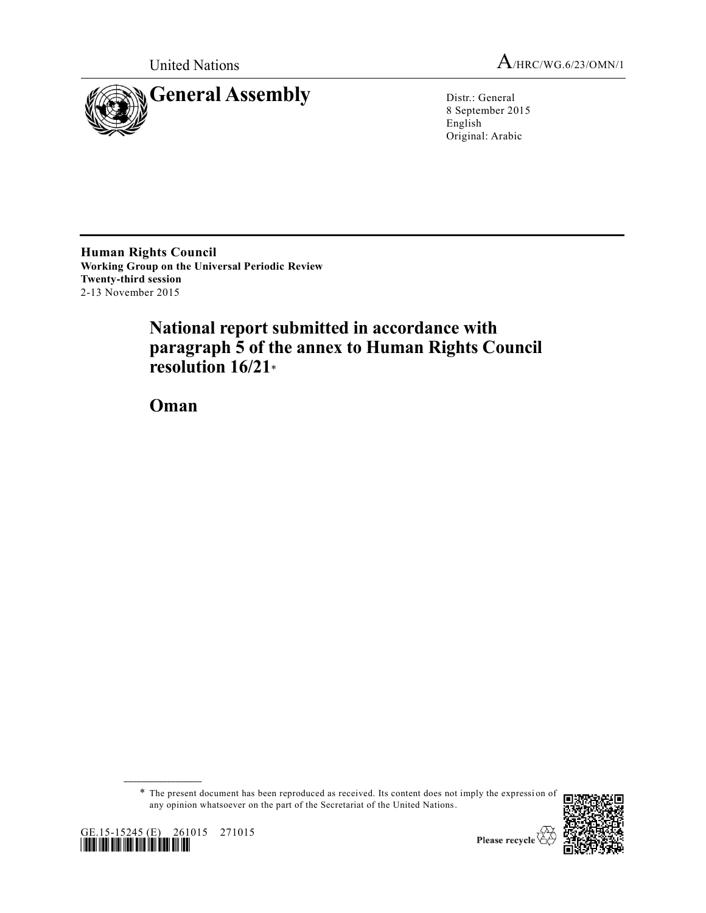



8 September 2015 English Original: Arabic

**Human Rights Council Working Group on the Universal Periodic Review Twenty-third session** 2-13 November 2015

# **National report submitted in accordance with paragraph 5 of the annex to Human Rights Council resolution 16/21**\*

**Oman**

\* The present document has been reproduced as received. Its content does not imply the expressi on of any opinion whatsoever on the part of the Secretariat of the United Nations.





**\_\_\_\_\_\_\_\_\_\_\_\_\_\_\_\_\_\_**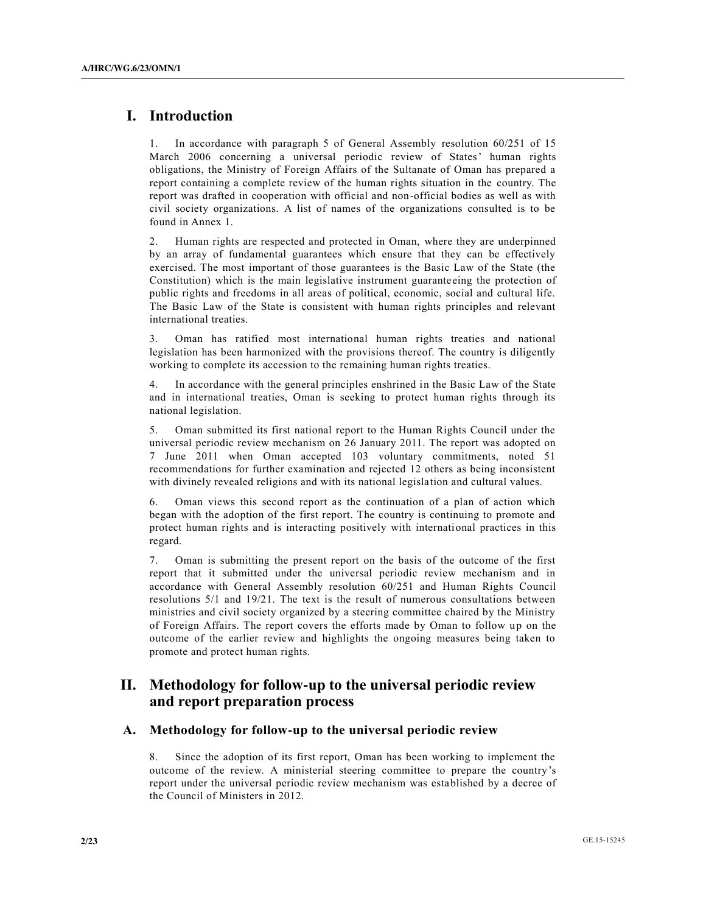## **I. Introduction**

1. In accordance with paragraph 5 of General Assembly resolution 60/251 of 15 March 2006 concerning a universal periodic review of States' human rights obligations, the Ministry of Foreign Affairs of the Sultanate of Oman has prepared a report containing a complete review of the human rights situation in the country. The report was drafted in cooperation with official and non-official bodies as well as with civil society organizations. A list of names of the organizations consulted is to be found in Annex 1.

2. Human rights are respected and protected in Oman, where they are underpinned by an array of fundamental guarantees which ensure that they can be effectively exercised. The most important of those guarantees is the Basic Law of the State (the Constitution) which is the main legislative instrument guaranteeing the protection of public rights and freedoms in all areas of political, economic, social and cultural life. The Basic Law of the State is consistent with human rights principles and relevant international treaties.

3. Oman has ratified most international human rights treaties and national legislation has been harmonized with the provisions thereof. The country is diligently working to complete its accession to the remaining human rights treaties.

4. In accordance with the general principles enshrined in the Basic Law of the State and in international treaties, Oman is seeking to protect human rights through its national legislation.

5. Oman submitted its first national report to the Human Rights Council under the universal periodic review mechanism on 26 January 2011. The report was adopted on 7 June 2011 when Oman accepted 103 voluntary commitments, noted 51 recommendations for further examination and rejected 12 others as being inconsistent with divinely revealed religions and with its national legislation and cultural values.

6. Oman views this second report as the continuation of a plan of action which began with the adoption of the first report. The country is continuing to promote and protect human rights and is interacting positively with international practices in this regard.

7. Oman is submitting the present report on the basis of the outcome of the first report that it submitted under the universal periodic review mechanism and in accordance with General Assembly resolution 60/251 and Human Rights Council resolutions 5/1 and 19/21. The text is the result of numerous consultations between ministries and civil society organized by a steering committee chaired by the Ministry of Foreign Affairs. The report covers the efforts made by Oman to follow up on the outcome of the earlier review and highlights the ongoing measures being taken to promote and protect human rights.

## **II. Methodology for follow-up to the universal periodic review and report preparation process**

### **A. Methodology for follow-up to the universal periodic review**

8. Since the adoption of its first report, Oman has been working to implement the outcome of the review. A ministerial steering committee to prepare the country's report under the universal periodic review mechanism was established by a decree of the Council of Ministers in 2012.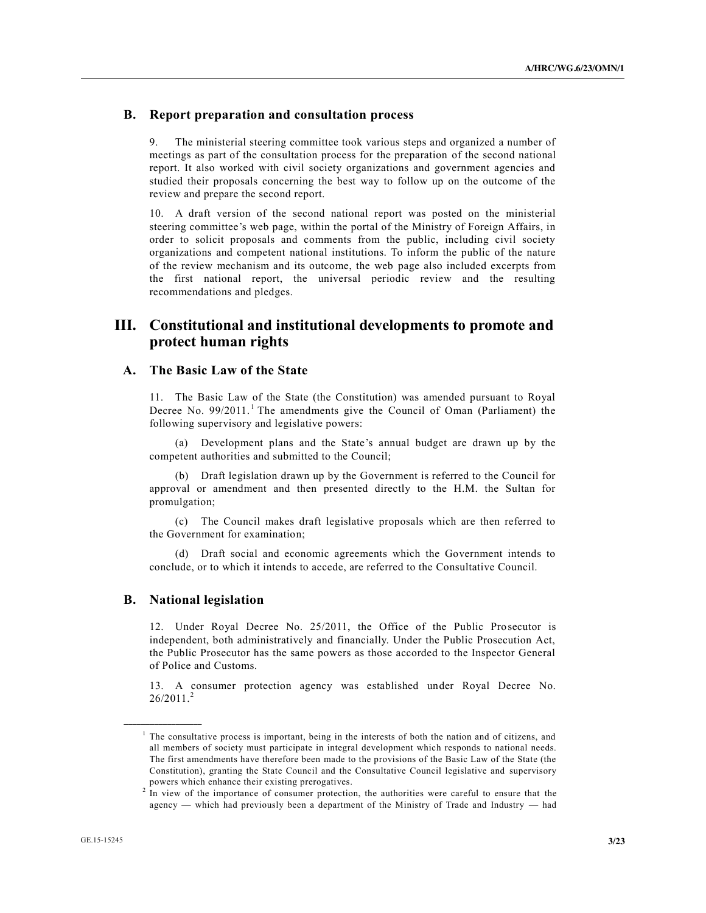### **B. Report preparation and consultation process**

The ministerial steering committee took various steps and organized a number of meetings as part of the consultation process for the preparation of the second national report. It also worked with civil society organizations and government agencies and studied their proposals concerning the best way to follow up on the outcome of the review and prepare the second report.

10. A draft version of the second national report was posted on the ministerial steering committee's web page, within the portal of the Ministry of Foreign Affairs, in order to solicit proposals and comments from the public, including civil society organizations and competent national institutions. To inform the public of the nature of the review mechanism and its outcome, the web page also included excerpts from the first national report, the universal periodic review and the resulting recommendations and pledges.

## **III. Constitutional and institutional developments to promote and protect human rights**

### **A. The Basic Law of the State**

11. The Basic Law of the State (the Constitution) was amended pursuant to Royal Decree No.  $99/2011$ .<sup>1</sup> The amendments give the Council of Oman (Parliament) the following supervisory and legislative powers:

(a) Development plans and the State's annual budget are drawn up by the competent authorities and submitted to the Council;

(b) Draft legislation drawn up by the Government is referred to the Council for approval or amendment and then presented directly to the H.M. the Sultan for promulgation;

(c) The Council makes draft legislative proposals which are then referred to the Government for examination;

(d) Draft social and economic agreements which the Government intends to conclude, or to which it intends to accede, are referred to the Consultative Council.

#### **B. National legislation**

**\_\_\_\_\_\_\_\_\_\_\_\_\_\_\_\_\_\_**

12. Under Royal Decree No. 25/2011, the Office of the Public Prosecutor is independent, both administratively and financially. Under the Public Prosecution Act, the Public Prosecutor has the same powers as those accorded to the Inspector General of Police and Customs.

13. A consumer protection agency was established under Royal Decree No.  $26/2011.<sup>2</sup>$ 

<sup>&</sup>lt;sup>1</sup> The consultative process is important, being in the interests of both the nation and of citizens, and all members of society must participate in integral development which responds to national needs. The first amendments have therefore been made to the provisions of the Basic Law of the State (the Constitution), granting the State Council and the Consultative Council legislative and supervisory powers which enhance their existing prerogatives.

<sup>2</sup> In view of the importance of consumer protection, the authorities were careful to ensure that the agency — which had previously been a department of the Ministry of Trade and Industry — had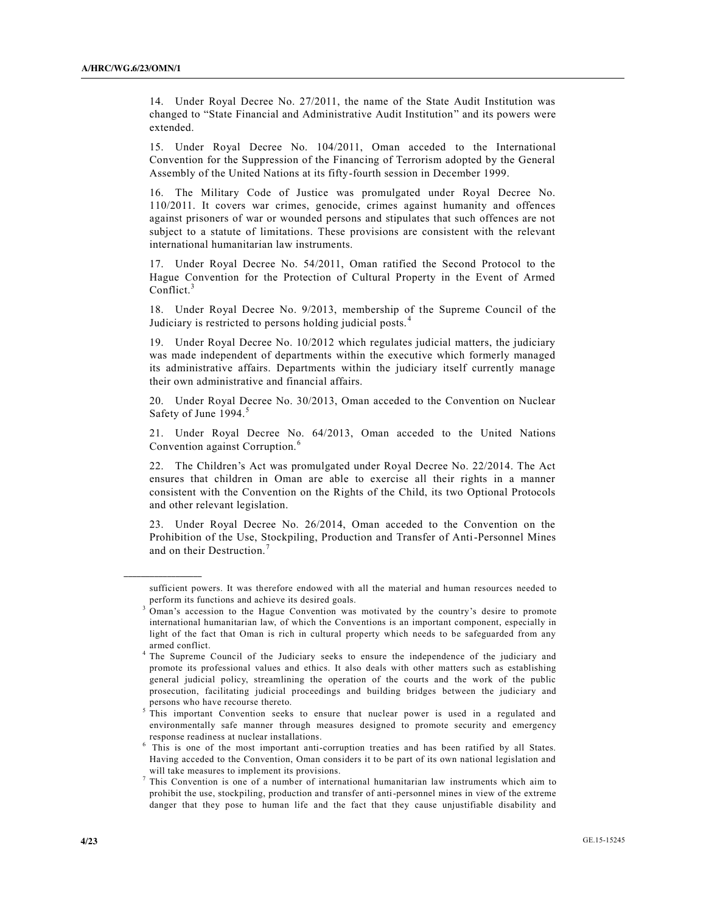14. Under Royal Decree No. 27/2011, the name of the State Audit Institution was changed to "State Financial and Administrative Audit Institution" and its powers were extended.

15. Under Royal Decree No. 104/2011, Oman acceded to the International Convention for the Suppression of the Financing of Terrorism adopted by the General Assembly of the United Nations at its fifty-fourth session in December 1999.

16. The Military Code of Justice was promulgated under Royal Decree No. 110/2011. It covers war crimes, genocide, crimes against humanity and offences against prisoners of war or wounded persons and stipulates that such offences are not subject to a statute of limitations. These provisions are consistent with the relevant international humanitarian law instruments.

17. Under Royal Decree No. 54/2011, Oman ratified the Second Protocol to the Hague Convention for the Protection of Cultural Property in the Event of Armed Conflict.<sup>3</sup>

18. Under Royal Decree No. 9/2013, membership of the Supreme Council of the Judiciary is restricted to persons holding judicial posts. <sup>4</sup>

19. Under Royal Decree No. 10/2012 which regulates judicial matters, the judiciary was made independent of departments within the executive which formerly managed its administrative affairs. Departments within the judiciary itself currently manage their own administrative and financial affairs.

20. Under Royal Decree No. 30/2013, Oman acceded to the Convention on Nuclear Safety of June 1994.<sup>5</sup>

21. Under Royal Decree No. 64/2013, Oman acceded to the United Nations Convention against Corruption.<sup>6</sup>

22. The Children's Act was promulgated under Royal Decree No. 22/2014. The Act ensures that children in Oman are able to exercise all their rights in a manner consistent with the Convention on the Rights of the Child, its two Optional Protocols and other relevant legislation.

23. Under Royal Decree No. 26/2014, Oman acceded to the Convention on the Prohibition of the Use, Stockpiling, Production and Transfer of Anti-Personnel Mines and on their Destruction.<sup>7</sup>

**\_\_\_\_\_\_\_\_\_\_\_\_\_\_\_\_\_\_**

sufficient powers. It was therefore endowed with all the material and human resources needed to perform its functions and achieve its desired goals.

<sup>3</sup> Oman's accession to the Hague Convention was motivated by the country's desire to promote international humanitarian law, of which the Conventions is an important component, especially in light of the fact that Oman is rich in cultural property which needs to be safeguarded from any armed conflict.

<sup>4</sup> The Supreme Council of the Judiciary seeks to ensure the independence of the judiciary and promote its professional values and ethics. It also deals with other matters such as establishing general judicial policy, streamlining the operation of the courts and the work of the public prosecution, facilitating judicial proceedings and building bridges between the judiciary and persons who have recourse thereto.

<sup>5</sup> This important Convention seeks to ensure that nuclear power is used in a regulated and environmentally safe manner through measures designed to promote security and emergency response readiness at nuclear installations.

<sup>&</sup>lt;sup>6</sup> This is one of the most important anti-corruption treaties and has been ratified by all States. Having acceded to the Convention, Oman considers it to be part of its own national legislation and will take measures to implement its provisions.

 $7$  This Convention is one of a number of international humanitarian law instruments which aim to prohibit the use, stockpiling, production and transfer of anti-personnel mines in view of the extreme danger that they pose to human life and the fact that they cause unjustifiable disability and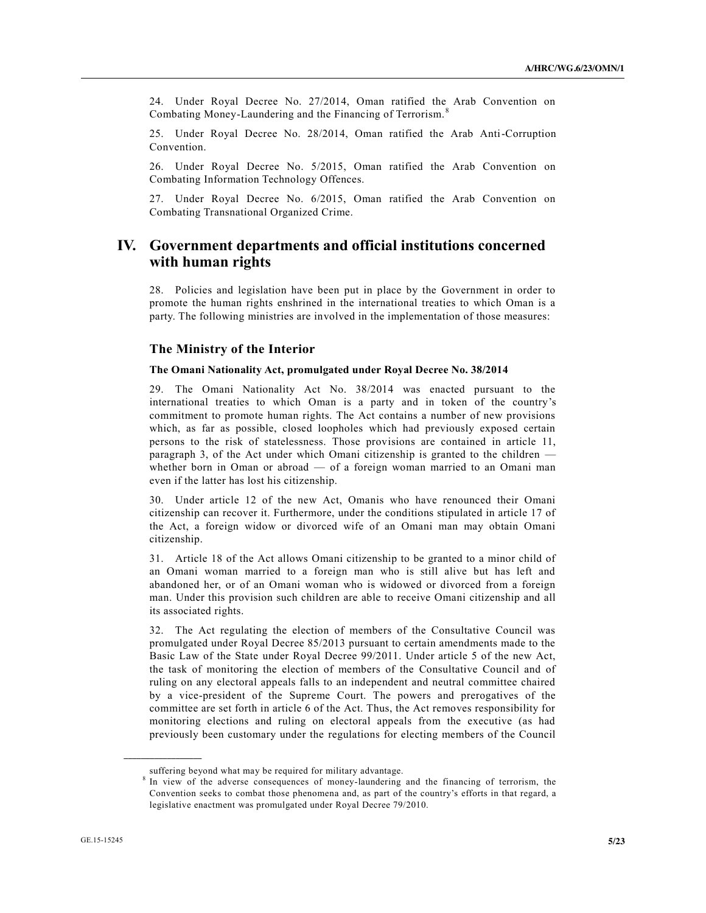24. Under Royal Decree No. 27/2014, Oman ratified the Arab Convention on Combating Money-Laundering and the Financing of Terrorism. <sup>8</sup>

25. Under Royal Decree No. 28/2014, Oman ratified the Arab Anti-Corruption Convention.

26. Under Royal Decree No. 5/2015, Oman ratified the Arab Convention on Combating Information Technology Offences.

27. Under Royal Decree No. 6/2015, Oman ratified the Arab Convention on Combating Transnational Organized Crime.

## **IV. Government departments and official institutions concerned with human rights**

28. Policies and legislation have been put in place by the Government in order to promote the human rights enshrined in the international treaties to which Oman is a party. The following ministries are involved in the implementation of those measures:

### **The Ministry of the Interior**

#### **The Omani Nationality Act, promulgated under Royal Decree No. 38/2014**

29. The Omani Nationality Act No. 38/2014 was enacted pursuant to the international treaties to which Oman is a party and in token of the country's commitment to promote human rights. The Act contains a number of new provisions which, as far as possible, closed loopholes which had previously exposed certain persons to the risk of statelessness. Those provisions are contained in article 11, paragraph 3, of the Act under which Omani citizenship is granted to the children whether born in Oman or abroad — of a foreign woman married to an Omani man even if the latter has lost his citizenship.

30. Under article 12 of the new Act, Omanis who have renounced their Omani citizenship can recover it. Furthermore, under the conditions stipulated in article 17 of the Act, a foreign widow or divorced wife of an Omani man may obtain Omani citizenship.

31. Article 18 of the Act allows Omani citizenship to be granted to a minor child of an Omani woman married to a foreign man who is still alive but has left and abandoned her, or of an Omani woman who is widowed or divorced from a foreign man. Under this provision such children are able to receive Omani citizenship and all its associated rights.

32. The Act regulating the election of members of the Consultative Council was promulgated under Royal Decree 85/2013 pursuant to certain amendments made to the Basic Law of the State under Royal Decree 99/2011. Under article 5 of the new Act, the task of monitoring the election of members of the Consultative Council and of ruling on any electoral appeals falls to an independent and neutral committee chaired by a vice-president of the Supreme Court. The powers and prerogatives of the committee are set forth in article 6 of the Act. Thus, the Act removes responsibility for monitoring elections and ruling on electoral appeals from the executive (as had previously been customary under the regulations for electing members of the Council

**\_\_\_\_\_\_\_\_\_\_\_\_\_\_\_\_\_\_**

suffering beyond what may be required for military advantage.

<sup>&</sup>lt;sup>8</sup> In view of the adverse consequences of money-laundering and the financing of terrorism, the Convention seeks to combat those phenomena and, as part of the country's efforts in that regard, a legislative enactment was promulgated under Royal Decree 79/2010.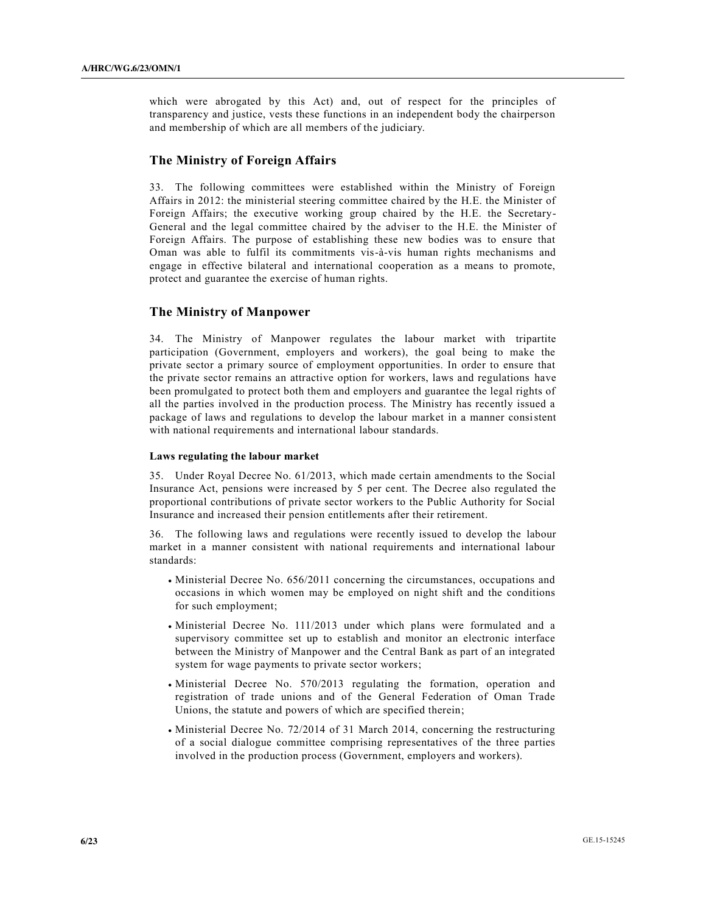which were abrogated by this Act) and, out of respect for the principles of transparency and justice, vests these functions in an independent body the chairperson and membership of which are all members of the judiciary.

### **The Ministry of Foreign Affairs**

33. The following committees were established within the Ministry of Foreign Affairs in 2012: the ministerial steering committee chaired by the H.E. the Minister of Foreign Affairs; the executive working group chaired by the H.E. the Secretary-General and the legal committee chaired by the adviser to the H.E. the Minister of Foreign Affairs. The purpose of establishing these new bodies was to ensure that Oman was able to fulfil its commitments vis-à-vis human rights mechanisms and engage in effective bilateral and international cooperation as a means to promote, protect and guarantee the exercise of human rights.

### **The Ministry of Manpower**

34. The Ministry of Manpower regulates the labour market with tripartite participation (Government, employers and workers), the goal being to make the private sector a primary source of employment opportunities. In order to ensure that the private sector remains an attractive option for workers, laws and regulations have been promulgated to protect both them and employers and guarantee the legal rights of all the parties involved in the production process. The Ministry has recently issued a package of laws and regulations to develop the labour market in a manner consistent with national requirements and international labour standards.

#### **Laws regulating the labour market**

35. Under Royal Decree No. 61/2013, which made certain amendments to the Social Insurance Act, pensions were increased by 5 per cent. The Decree also regulated the proportional contributions of private sector workers to the Public Authority for Social Insurance and increased their pension entitlements after their retirement.

36. The following laws and regulations were recently issued to develop the labour market in a manner consistent with national requirements and international labour standards:

- Ministerial Decree No. 656/2011 concerning the circumstances, occupations and occasions in which women may be employed on night shift and the conditions for such employment;
- Ministerial Decree No. 111/2013 under which plans were formulated and a supervisory committee set up to establish and monitor an electronic interface between the Ministry of Manpower and the Central Bank as part of an integrated system for wage payments to private sector workers;
- Ministerial Decree No. 570/2013 regulating the formation, operation and registration of trade unions and of the General Federation of Oman Trade Unions, the statute and powers of which are specified therein;
- Ministerial Decree No. 72/2014 of 31 March 2014, concerning the restructuring of a social dialogue committee comprising representatives of the three parties involved in the production process (Government, employers and workers).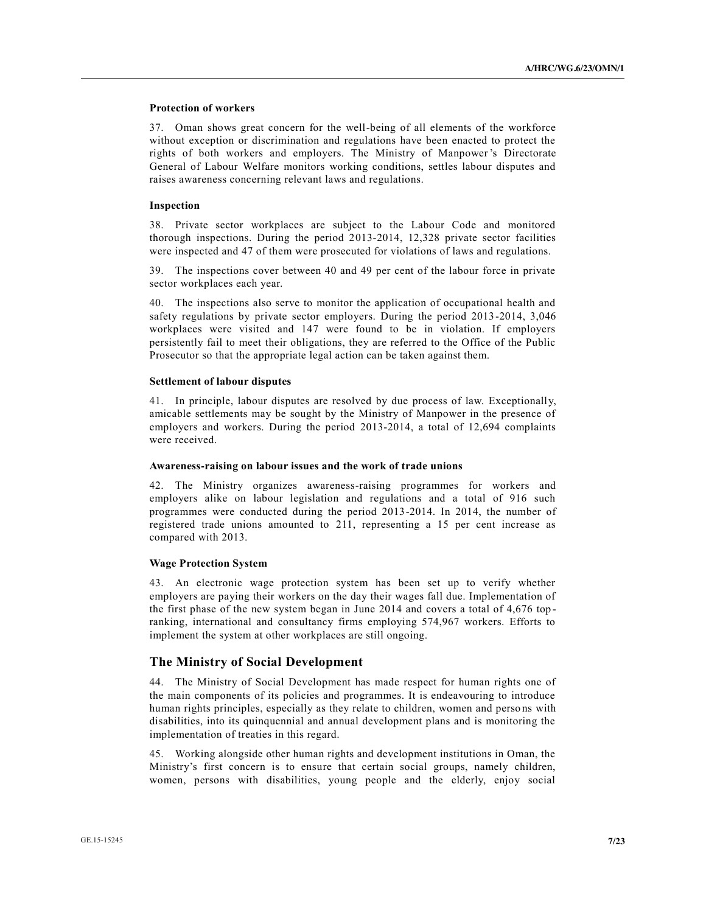### **Protection of workers**

37. Oman shows great concern for the well-being of all elements of the workforce without exception or discrimination and regulations have been enacted to protect the rights of both workers and employers. The Ministry of Manpower's Directorate General of Labour Welfare monitors working conditions, settles labour disputes and raises awareness concerning relevant laws and regulations.

#### **Inspection**

38. Private sector workplaces are subject to the Labour Code and monitored thorough inspections. During the period 2013-2014, 12,328 private sector facilities were inspected and 47 of them were prosecuted for violations of laws and regulations.

39. The inspections cover between 40 and 49 per cent of the labour force in private sector workplaces each year.

40. The inspections also serve to monitor the application of occupational health and safety regulations by private sector employers. During the period 2013-2014, 3,046 workplaces were visited and 147 were found to be in violation. If employers persistently fail to meet their obligations, they are referred to the Office of the Public Prosecutor so that the appropriate legal action can be taken against them.

#### **Settlement of labour disputes**

41. In principle, labour disputes are resolved by due process of law. Exceptionally, amicable settlements may be sought by the Ministry of Manpower in the presence of employers and workers. During the period 2013-2014, a total of 12,694 complaints were received.

#### **Awareness-raising on labour issues and the work of trade unions**

42. The Ministry organizes awareness-raising programmes for workers and employers alike on labour legislation and regulations and a total of 916 such programmes were conducted during the period 2013-2014. In 2014, the number of registered trade unions amounted to 211, representing a 15 per cent increase as compared with 2013.

#### **Wage Protection System**

43. An electronic wage protection system has been set up to verify whether employers are paying their workers on the day their wages fall due. Implementation of the first phase of the new system began in June 2014 and covers a total of 4,676 top ranking, international and consultancy firms employing 574,967 workers. Efforts to implement the system at other workplaces are still ongoing.

### **The Ministry of Social Development**

44. The Ministry of Social Development has made respect for human rights one of the main components of its policies and programmes. It is endeavouring to introduce human rights principles, especially as they relate to children, women and persons with disabilities, into its quinquennial and annual development plans and is monitoring the implementation of treaties in this regard.

45. Working alongside other human rights and development institutions in Oman, the Ministry's first concern is to ensure that certain social groups, namely children, women, persons with disabilities, young people and the elderly, enjoy social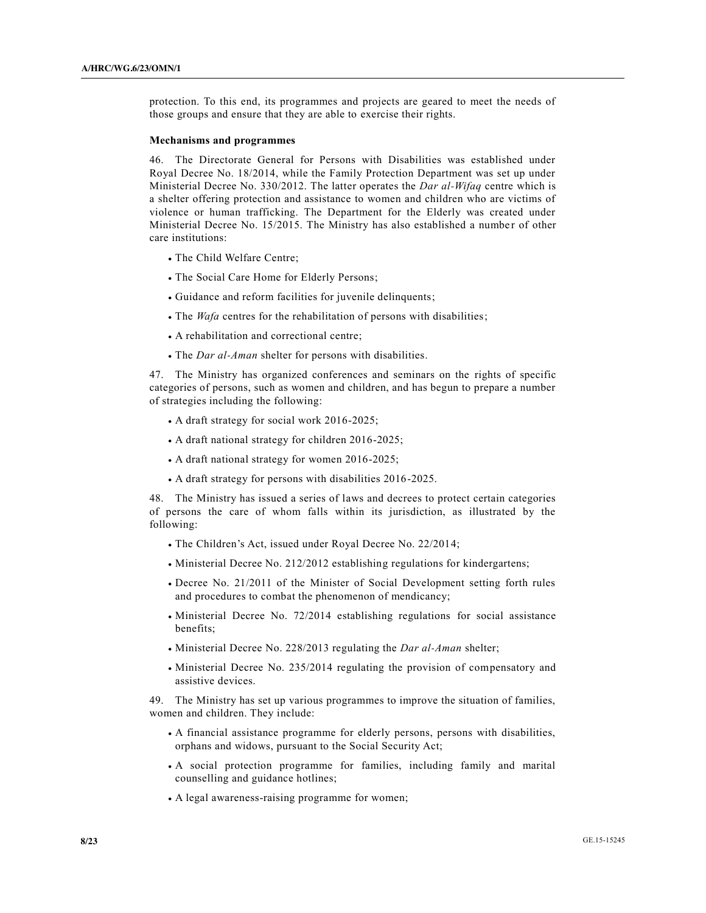protection. To this end, its programmes and projects are geared to meet the needs of those groups and ensure that they are able to exercise their rights.

#### **Mechanisms and programmes**

46. The Directorate General for Persons with Disabilities was established under Royal Decree No. 18/2014, while the Family Protection Department was set up under Ministerial Decree No. 330/2012. The latter operates the *Dar al-Wifaq* centre which is a shelter offering protection and assistance to women and children who are victims of violence or human trafficking. The Department for the Elderly was created under Ministerial Decree No. 15/2015. The Ministry has also established a number of other care institutions:

- The Child Welfare Centre;
- The Social Care Home for Elderly Persons;
- x Guidance and reform facilities for juvenile delinquents;
- The *Wafa* centres for the rehabilitation of persons with disabilities;
- A rehabilitation and correctional centre;
- <sup>x</sup> The *Dar al-Aman* shelter for persons with disabilities.

47. The Ministry has organized conferences and seminars on the rights of specific categories of persons, such as women and children, and has begun to prepare a number of strategies including the following:

- $\bullet$  A draft strategy for social work 2016-2025;
- $\bullet$  A draft national strategy for children 2016-2025;
- $\bullet$  A draft national strategy for women 2016-2025;
- x A draft strategy for persons with disabilities 2016-2025.

48. The Ministry has issued a series of laws and decrees to protect certain categories of persons the care of whom falls within its jurisdiction, as illustrated by the following:

- The Children's Act, issued under Royal Decree No. 22/2014;
- Ministerial Decree No. 212/2012 establishing regulations for kindergartens;
- x Decree No. 21/2011 of the Minister of Social Development setting forth rules and procedures to combat the phenomenon of mendicancy;
- Ministerial Decree No. 72/2014 establishing regulations for social assistance benefits;
- <sup>x</sup> Ministerial Decree No. 228/2013 regulating the *Dar al-Aman* shelter;
- Ministerial Decree No. 235/2014 regulating the provision of compensatory and assistive devices.

49. The Ministry has set up various programmes to improve the situation of families, women and children. They include:

- x A financial assistance programme for elderly persons, persons with disabilities, orphans and widows, pursuant to the Social Security Act;
- x A social protection programme for families, including family and marital counselling and guidance hotlines;
- A legal awareness-raising programme for women;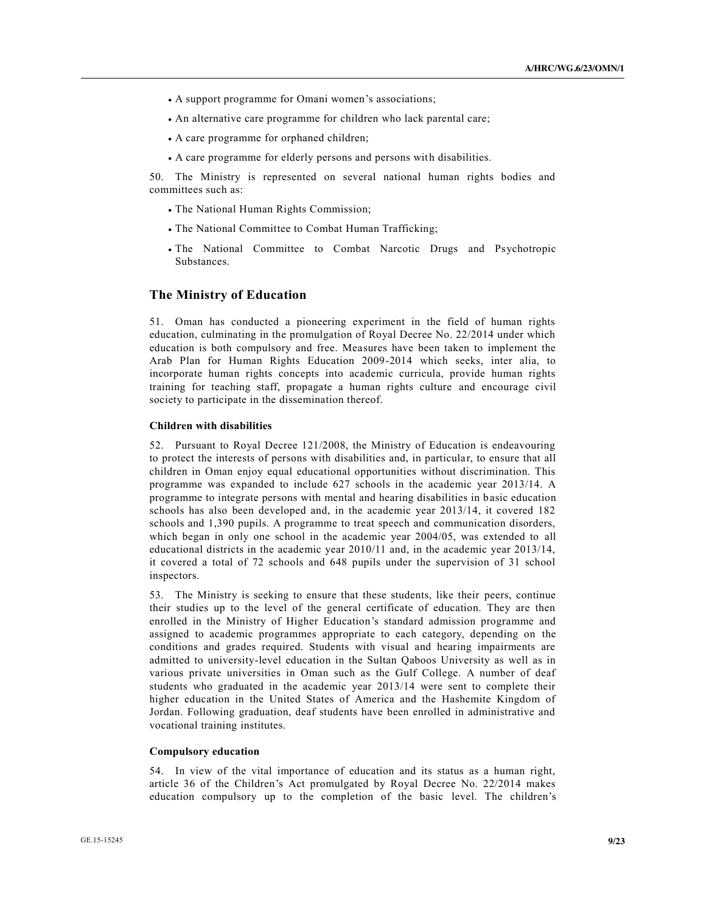- A support programme for Omani women's associations;
- An alternative care programme for children who lack parental care;
- A care programme for orphaned children;
- x A care programme for elderly persons and persons with disabilities.

50. The Ministry is represented on several national human rights bodies and committees such as:

- The National Human Rights Commission;
- The National Committee to Combat Human Trafficking;
- The National Committee to Combat Narcotic Drugs and Psychotropic Substances.

### **The Ministry of Education**

51. Oman has conducted a pioneering experiment in the field of human rights education, culminating in the promulgation of Royal Decree No. 22/2014 under which education is both compulsory and free. Measures have been taken to implement the Arab Plan for Human Rights Education 2009-2014 which seeks, inter alia, to incorporate human rights concepts into academic curricula, provide human rights training for teaching staff, propagate a human rights culture and encourage civil society to participate in the dissemination thereof.

#### **Children with disabilities**

52. Pursuant to Royal Decree 121/2008, the Ministry of Education is endeavouring to protect the interests of persons with disabilities and, in particular, to ensure that all children in Oman enjoy equal educational opportunities without discrimination. This programme was expanded to include 627 schools in the academic year 2013/14. A programme to integrate persons with mental and hearing disabilities in b asic education schools has also been developed and, in the academic year 2013/14, it covered 182 schools and 1,390 pupils. A programme to treat speech and communication disorders, which began in only one school in the academic year 2004/05, was extended to all educational districts in the academic year 2010/11 and, in the academic year 2013/14, it covered a total of 72 schools and 648 pupils under the supervision of 31 school inspectors.

53. The Ministry is seeking to ensure that these students, like their peers, continue their studies up to the level of the general certificate of education. They are then enrolled in the Ministry of Higher Education's standard admission programme and assigned to academic programmes appropriate to each category, depending on the conditions and grades required. Students with visual and hearing impairments are admitted to university-level education in the Sultan Qaboos University as well as in various private universities in Oman such as the Gulf College. A number of deaf students who graduated in the academic year 2013/14 were sent to complete their higher education in the United States of America and the Hashemite Kingdom of Jordan. Following graduation, deaf students have been enrolled in administrative and vocational training institutes.

#### **Compulsory education**

54. In view of the vital importance of education and its status as a human right, article 36 of the Children's Act promulgated by Royal Decree No. 22/2014 makes education compulsory up to the completion of the basic level. The children's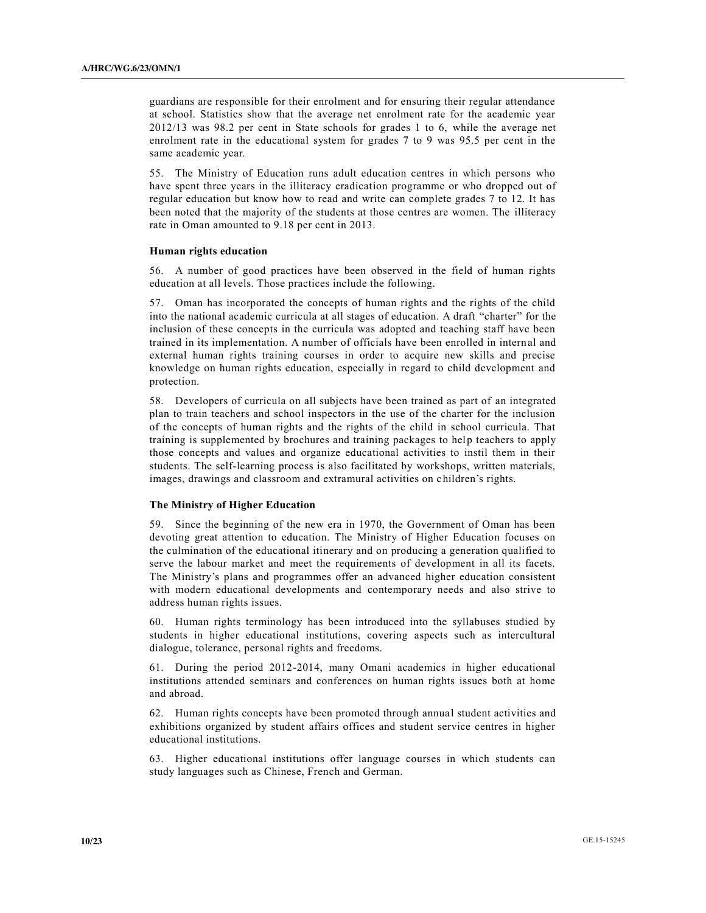guardians are responsible for their enrolment and for ensuring their regular attendance at school. Statistics show that the average net enrolment rate for the academic year 2012/13 was 98.2 per cent in State schools for grades 1 to 6, while the average net enrolment rate in the educational system for grades 7 to 9 was 95.5 per cent in the same academic year.

55. The Ministry of Education runs adult education centres in which persons who have spent three years in the illiteracy eradication programme or who dropped out of regular education but know how to read and write can complete grades 7 to 12. It has been noted that the majority of the students at those centres are women. The illiteracy rate in Oman amounted to 9.18 per cent in 2013.

#### **Human rights education**

56. A number of good practices have been observed in the field of human rights education at all levels. Those practices include the following.

57. Oman has incorporated the concepts of human rights and the rights of the child into the national academic curricula at all stages of education. A draft "charter" for the inclusion of these concepts in the curricula was adopted and teaching staff have been trained in its implementation. A number of officials have been enrolled in intern al and external human rights training courses in order to acquire new skills and precise knowledge on human rights education, especially in regard to child development and protection.

58. Developers of curricula on all subjects have been trained as part of an integrated plan to train teachers and school inspectors in the use of the charter for the inclusion of the concepts of human rights and the rights of the child in school curricula. That training is supplemented by brochures and training packages to help teachers to apply those concepts and values and organize educational activities to instil them in their students. The self-learning process is also facilitated by workshops, written materials, images, drawings and classroom and extramural activities on children's rights.

#### **The Ministry of Higher Education**

59. Since the beginning of the new era in 1970, the Government of Oman has been devoting great attention to education. The Ministry of Higher Education focuses on the culmination of the educational itinerary and on producing a generation qualified to serve the labour market and meet the requirements of development in all its facets. The Ministry's plans and programmes offer an advanced higher education consistent with modern educational developments and contemporary needs and also strive to address human rights issues.

60. Human rights terminology has been introduced into the syllabuses studied by students in higher educational institutions, covering aspects such as intercultural dialogue, tolerance, personal rights and freedoms.

61. During the period 2012-2014, many Omani academics in higher educational institutions attended seminars and conferences on human rights issues both at home and abroad.

62. Human rights concepts have been promoted through annual student activities and exhibitions organized by student affairs offices and student service centres in higher educational institutions.

63. Higher educational institutions offer language courses in which students can study languages such as Chinese, French and German.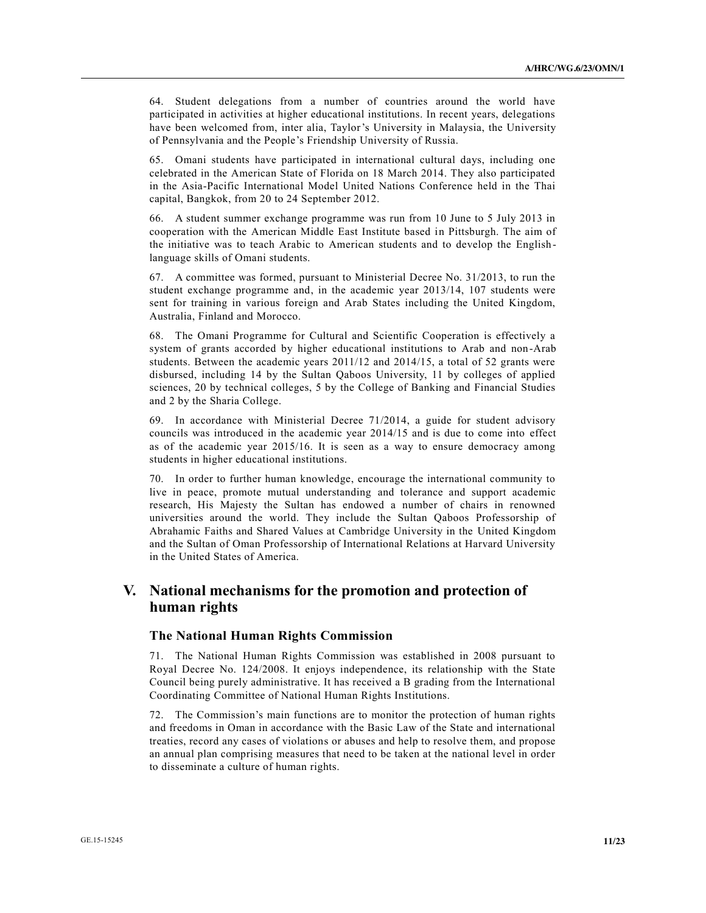64. Student delegations from a number of countries around the world have participated in activities at higher educational institutions. In recent years, delegations have been welcomed from, inter alia, Taylor's University in Malaysia, the University of Pennsylvania and the People's Friendship University of Russia.

65. Omani students have participated in international cultural days, including one celebrated in the American State of Florida on 18 March 2014. They also participated in the Asia-Pacific International Model United Nations Conference held in the Thai capital, Bangkok, from 20 to 24 September 2012.

66. A student summer exchange programme was run from 10 June to 5 July 2013 in cooperation with the American Middle East Institute based in Pittsburgh. The aim of the initiative was to teach Arabic to American students and to develop the English language skills of Omani students.

67. A committee was formed, pursuant to Ministerial Decree No. 31/2013, to run the student exchange programme and, in the academic year 2013/14, 107 students were sent for training in various foreign and Arab States including the United Kingdom, Australia, Finland and Morocco.

68. The Omani Programme for Cultural and Scientific Cooperation is effectively a system of grants accorded by higher educational institutions to Arab and non-Arab students. Between the academic years 2011/12 and 2014/15, a total of 52 grants were disbursed, including 14 by the Sultan Qaboos University, 11 by colleges of applied sciences, 20 by technical colleges, 5 by the College of Banking and Financial Studies and 2 by the Sharia College.

69. In accordance with Ministerial Decree 71/2014, a guide for student advisory councils was introduced in the academic year 2014/15 and is due to come into effect as of the academic year 2015/16. It is seen as a way to ensure democracy among students in higher educational institutions.

70. In order to further human knowledge, encourage the international community to live in peace, promote mutual understanding and tolerance and support academic research, His Majesty the Sultan has endowed a number of chairs in renowned universities around the world. They include the Sultan Qaboos Professorship of Abrahamic Faiths and Shared Values at Cambridge University in the United Kingdom and the Sultan of Oman Professorship of International Relations at Harvard University in the United States of America.

## **V. National mechanisms for the promotion and protection of human rights**

### **The National Human Rights Commission**

71. The National Human Rights Commission was established in 2008 pursuant to Royal Decree No. 124/2008. It enjoys independence, its relationship with the State Council being purely administrative. It has received a B grading from the International Coordinating Committee of National Human Rights Institutions.

72. The Commission's main functions are to monitor the protection of human rights and freedoms in Oman in accordance with the Basic Law of the State and international treaties, record any cases of violations or abuses and help to resolve them, and propose an annual plan comprising measures that need to be taken at the national level in order to disseminate a culture of human rights.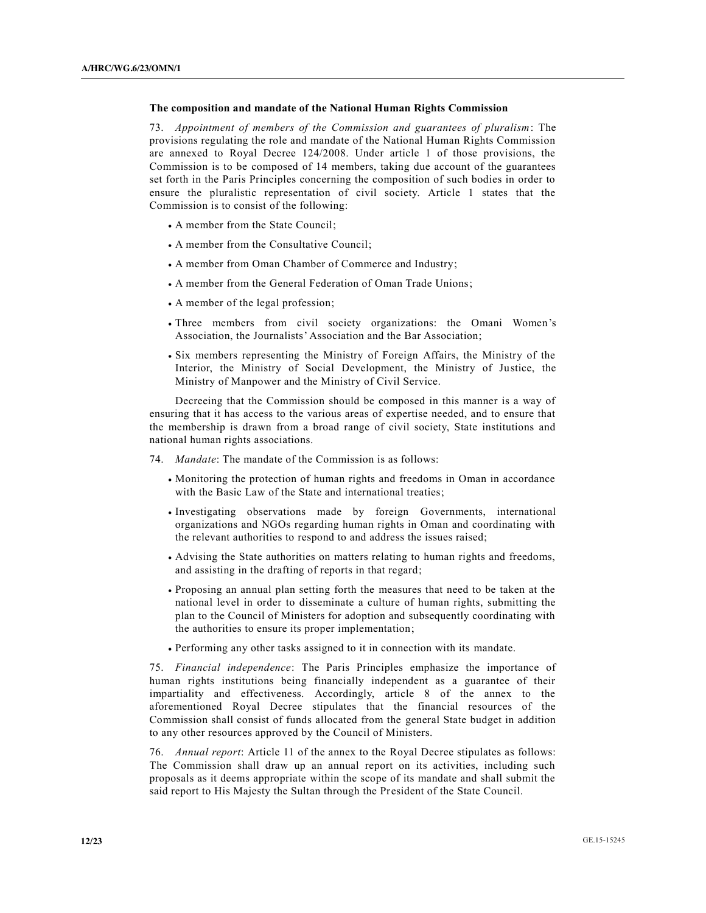#### **The composition and mandate of the National Human Rights Commission**

73. *Appointment of members of the Commission and guarantees of pluralism*: The provisions regulating the role and mandate of the National Human Rights Commission are annexed to Royal Decree 124/2008. Under article 1 of those provisions, the Commission is to be composed of 14 members, taking due account of the guarantees set forth in the Paris Principles concerning the composition of such bodies in order to ensure the pluralistic representation of civil society. Article 1 states that the Commission is to consist of the following:

- A member from the State Council;
- A member from the Consultative Council;
- A member from Oman Chamber of Commerce and Industry;
- A member from the General Federation of Oman Trade Unions;
- A member of the legal profession;
- x Three members from civil society organizations: the Omani Women's Association, the Journalists' Association and the Bar Association;
- x Six members representing the Ministry of Foreign Affairs, the Ministry of the Interior, the Ministry of Social Development, the Ministry of Justice, the Ministry of Manpower and the Ministry of Civil Service.

Decreeing that the Commission should be composed in this manner is a way of ensuring that it has access to the various areas of expertise needed, and to ensure that the membership is drawn from a broad range of civil society, State institutions and national human rights associations.

- 74. *Mandate*: The mandate of the Commission is as follows:
	- x Monitoring the protection of human rights and freedoms in Oman in accordance with the Basic Law of the State and international treaties;
	- x Investigating observations made by foreign Governments, international organizations and NGOs regarding human rights in Oman and coordinating with the relevant authorities to respond to and address the issues raised;
	- x Advising the State authorities on matters relating to human rights and freedoms, and assisting in the drafting of reports in that regard;
	- x Proposing an annual plan setting forth the measures that need to be taken at the national level in order to disseminate a culture of human rights, submitting the plan to the Council of Ministers for adoption and subsequently coordinating with the authorities to ensure its proper implementation;
	- Performing any other tasks assigned to it in connection with its mandate.

75. *Financial independence*: The Paris Principles emphasize the importance of human rights institutions being financially independent as a guarantee of their impartiality and effectiveness. Accordingly, article 8 of the annex to the aforementioned Royal Decree stipulates that the financial resources of the Commission shall consist of funds allocated from the general State budget in addition to any other resources approved by the Council of Ministers.

76. *Annual report*: Article 11 of the annex to the Royal Decree stipulates as follows: The Commission shall draw up an annual report on its activities, including such proposals as it deems appropriate within the scope of its mandate and shall submit the said report to His Majesty the Sultan through the President of the State Council.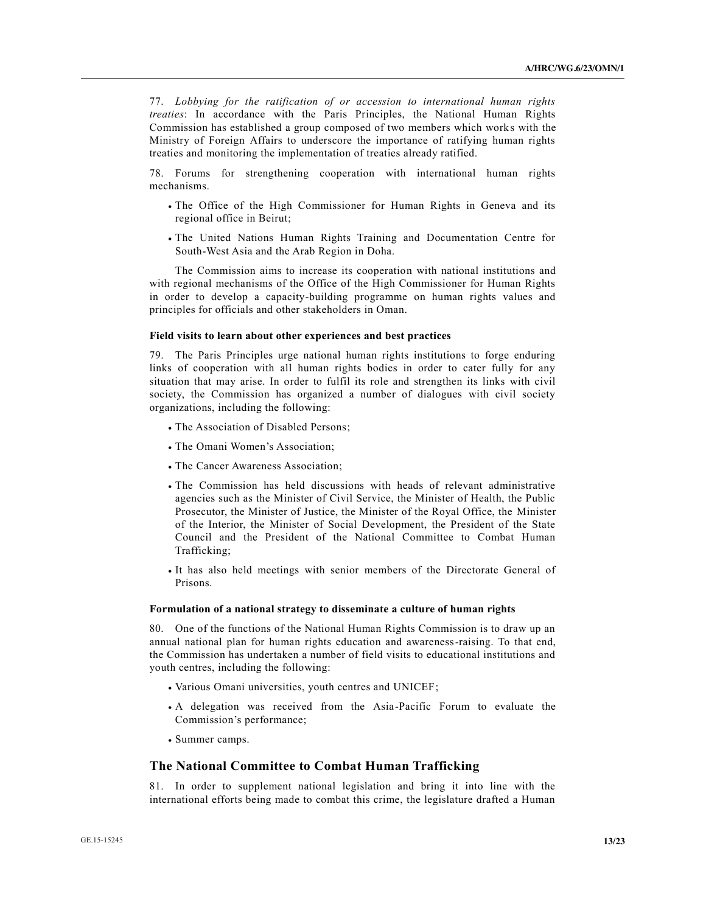77. *Lobbying for the ratification of or accession to international human rights treaties*: In accordance with the Paris Principles, the National Human Rights Commission has established a group composed of two members which works with the Ministry of Foreign Affairs to underscore the importance of ratifying human rights treaties and monitoring the implementation of treaties already ratified.

78. Forums for strengthening cooperation with international human rights mechanisms.

- The Office of the High Commissioner for Human Rights in Geneva and its regional office in Beirut;
- . The United Nations Human Rights Training and Documentation Centre for South-West Asia and the Arab Region in Doha.

The Commission aims to increase its cooperation with national institutions and with regional mechanisms of the Office of the High Commissioner for Human Rights in order to develop a capacity-building programme on human rights values and principles for officials and other stakeholders in Oman.

#### **Field visits to learn about other experiences and best practices**

79. The Paris Principles urge national human rights institutions to forge enduring links of cooperation with all human rights bodies in order to cater fully for any situation that may arise. In order to fulfil its role and strengthen its links with civil society, the Commission has organized a number of dialogues with civil society organizations, including the following:

- The Association of Disabled Persons;
- The Omani Women's Association;
- The Cancer Awareness Association;
- The Commission has held discussions with heads of relevant administrative agencies such as the Minister of Civil Service, the Minister of Health, the Public Prosecutor, the Minister of Justice, the Minister of the Royal Office, the Minister of the Interior, the Minister of Social Development, the President of the State Council and the President of the National Committee to Combat Human Trafficking;
- x It has also held meetings with senior members of the Directorate General of Prisons.

#### **Formulation of a national strategy to disseminate a culture of human rights**

80. One of the functions of the National Human Rights Commission is to draw up an annual national plan for human rights education and awareness-raising. To that end, the Commission has undertaken a number of field visits to educational institutions and youth centres, including the following:

- Various Omani universities, youth centres and UNICEF;
- x A delegation was received from the Asia-Pacific Forum to evaluate the Commission's performance;
- Summer camps.

#### **The National Committee to Combat Human Trafficking**

81. In order to supplement national legislation and bring it into line with the international efforts being made to combat this crime, the legislature drafted a Human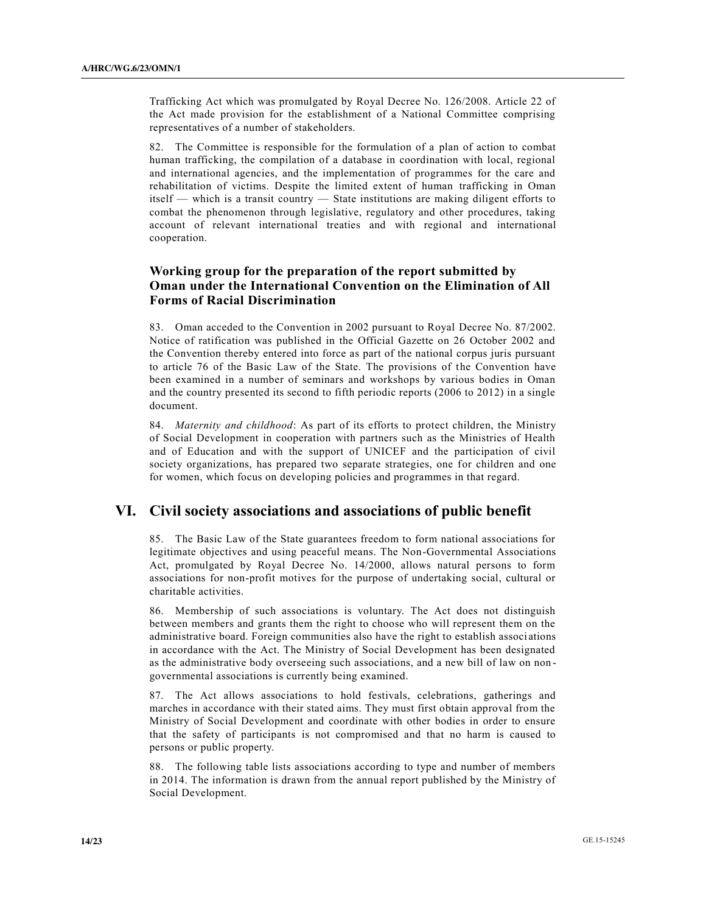Trafficking Act which was promulgated by Royal Decree No. 126/2008. Article 22 of the Act made provision for the establishment of a National Committee comprising representatives of a number of stakeholders.

82. The Committee is responsible for the formulation of a plan of action to combat human trafficking, the compilation of a database in coordination with local, regional and international agencies, and the implementation of programmes for the care and rehabilitation of victims. Despite the limited extent of human trafficking in Oman itself — which is a transit country — State institutions are making diligent efforts to combat the phenomenon through legislative, regulatory and other procedures, taking account of relevant international treaties and with regional and international cooperation.

### **Working group for the preparation of the report submitted by Oman under the International Convention on the Elimination of All Forms of Racial Discrimination**

83. Oman acceded to the Convention in 2002 pursuant to Royal Decree No. 87/2002. Notice of ratification was published in the Official Gazette on 26 October 2002 and the Convention thereby entered into force as part of the national corpus juris pursuant to article 76 of the Basic Law of the State. The provisions of the Convention have been examined in a number of seminars and workshops by various bodies in Oman and the country presented its second to fifth periodic reports (2006 to 2012) in a single document.

84. *Maternity and childhood*: As part of its efforts to protect children, the Ministry of Social Development in cooperation with partners such as the Ministries of Health and of Education and with the support of UNICEF and the participation of civil society organizations, has prepared two separate strategies, one for children and one for women, which focus on developing policies and programmes in that regard.

### **VI. Civil society associations and associations of public benefit**

85. The Basic Law of the State guarantees freedom to form national associations for legitimate objectives and using peaceful means. The Non-Governmental Associations Act, promulgated by Royal Decree No. 14/2000, allows natural persons to form associations for non-profit motives for the purpose of undertaking social, cultural or charitable activities.

86. Membership of such associations is voluntary. The Act does not distinguish between members and grants them the right to choose who will represent them on the administrative board. Foreign communities also have the right to establish associ ations in accordance with the Act. The Ministry of Social Development has been designated as the administrative body overseeing such associations, and a new bill of law on non governmental associations is currently being examined.

87. The Act allows associations to hold festivals, celebrations, gatherings and marches in accordance with their stated aims. They must first obtain approval from the Ministry of Social Development and coordinate with other bodies in order to ensure that the safety of participants is not compromised and that no harm is caused to persons or public property.

88. The following table lists associations according to type and number of members in 2014. The information is drawn from the annual report published by the Ministry of Social Development.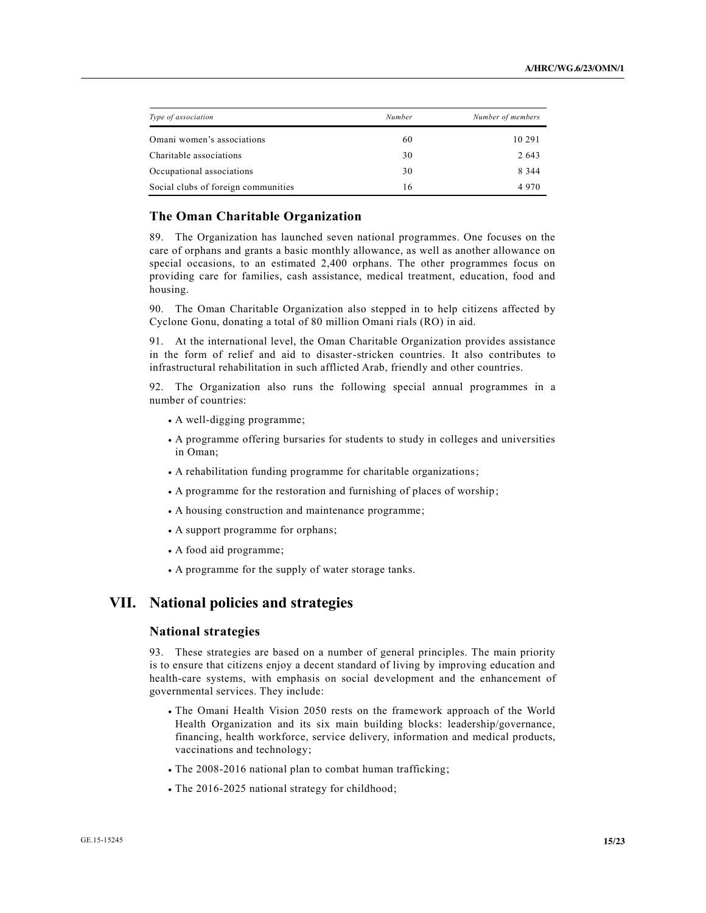| Type of association                 | Number | Number of members |
|-------------------------------------|--------|-------------------|
| Omani women's associations          | 60     | 10 29 1           |
| Charitable associations             | 30     | 2 6 4 3           |
| Occupational associations           | 30     | 8 3 4 4           |
| Social clubs of foreign communities | 16     | 4970              |

### **The Oman Charitable Organization**

89. The Organization has launched seven national programmes. One focuses on the care of orphans and grants a basic monthly allowance, as well as another allowance on special occasions, to an estimated 2,400 orphans. The other programmes focus on providing care for families, cash assistance, medical treatment, education, food and housing.

90. The Oman Charitable Organization also stepped in to help citizens affected by Cyclone Gonu, donating a total of 80 million Omani rials (RO) in aid.

91. At the international level, the Oman Charitable Organization provides assistance in the form of relief and aid to disaster-stricken countries. It also contributes to infrastructural rehabilitation in such afflicted Arab, friendly and other countries.

92. The Organization also runs the following special annual programmes in a number of countries:

- A well-digging programme;
- x A programme offering bursaries for students to study in colleges and universities in Oman;
- A rehabilitation funding programme for charitable organizations;
- $\bullet$  A programme for the restoration and furnishing of places of worship;
- A housing construction and maintenance programme;
- A support programme for orphans;
- x A food aid programme;
- x A programme for the supply of water storage tanks.

### **VII. National policies and strategies**

#### **National strategies**

93. These strategies are based on a number of general principles. The main priority is to ensure that citizens enjoy a decent standard of living by improving education and health-care systems, with emphasis on social development and the enhancement of governmental services. They include:

- The Omani Health Vision 2050 rests on the framework approach of the World Health Organization and its six main building blocks: leadership/governance, financing, health workforce, service delivery, information and medical products, vaccinations and technology;
- The 2008-2016 national plan to combat human trafficking;
- The 2016-2025 national strategy for childhood;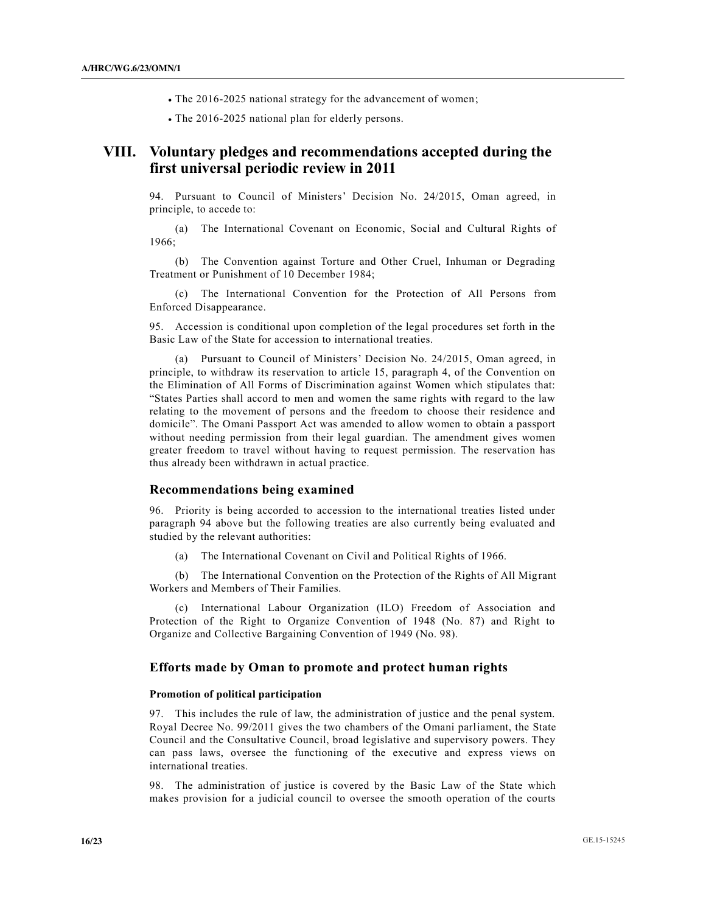- The 2016-2025 national strategy for the advancement of women;
- The 2016-2025 national plan for elderly persons.

## **VIII. Voluntary pledges and recommendations accepted during the first universal periodic review in 2011**

94. Pursuant to Council of Ministers' Decision No. 24/2015, Oman agreed, in principle, to accede to:

(a) The International Covenant on Economic, Social and Cultural Rights of 1966;

(b) The Convention against Torture and Other Cruel, Inhuman or Degrading Treatment or Punishment of 10 December 1984;

(c) The International Convention for the Protection of All Persons from Enforced Disappearance.

95. Accession is conditional upon completion of the legal procedures set forth in the Basic Law of the State for accession to international treaties.

(a) Pursuant to Council of Ministers' Decision No. 24/2015, Oman agreed, in principle, to withdraw its reservation to article 15, paragraph 4, of the Convention on the Elimination of All Forms of Discrimination against Women which stipulates that: "States Parties shall accord to men and women the same rights with regard to the law relating to the movement of persons and the freedom to choose their residence and domicile". The Omani Passport Act was amended to allow women to obtain a passport without needing permission from their legal guardian. The amendment gives women greater freedom to travel without having to request permission. The reservation has thus already been withdrawn in actual practice.

#### **Recommendations being examined**

96. Priority is being accorded to accession to the international treaties listed under paragraph 94 above but the following treaties are also currently being evaluated and studied by the relevant authorities:

(a) The International Covenant on Civil and Political Rights of 1966.

(b) The International Convention on the Protection of the Rights of All Migrant Workers and Members of Their Families.

(c) International Labour Organization (ILO) Freedom of Association and Protection of the Right to Organize Convention of 1948 (No. 87) and Right to Organize and Collective Bargaining Convention of 1949 (No. 98).

### **Efforts made by Oman to promote and protect human rights**

#### **Promotion of political participation**

97. This includes the rule of law, the administration of justice and the penal system. Royal Decree No. 99/2011 gives the two chambers of the Omani parliament, the State Council and the Consultative Council, broad legislative and supervisory powers. They can pass laws, oversee the functioning of the executive and express views on international treaties.

98. The administration of justice is covered by the Basic Law of the State which makes provision for a judicial council to oversee the smooth operation of the courts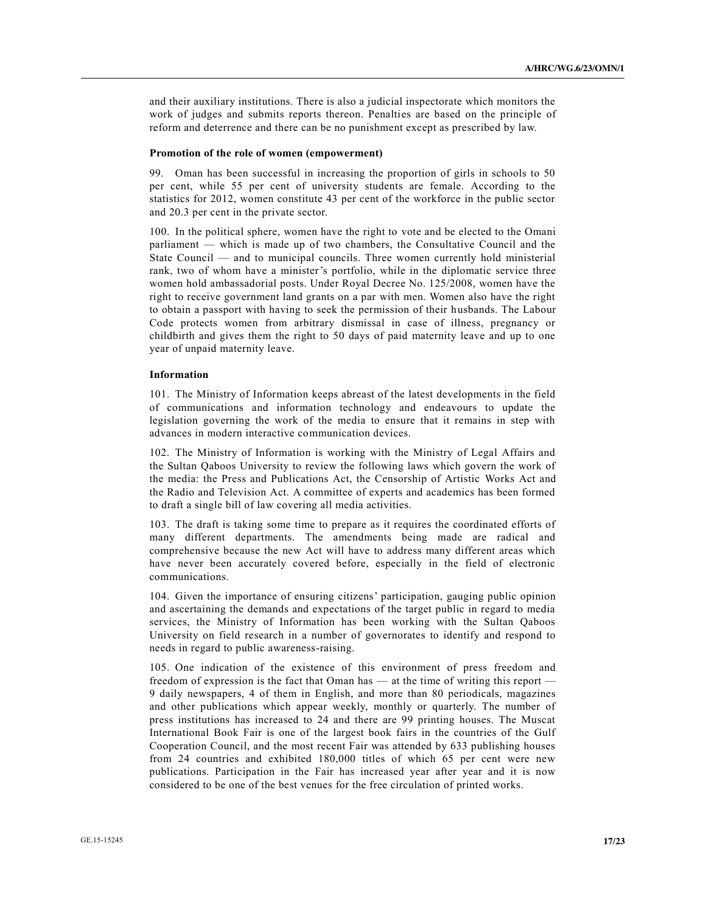and their auxiliary institutions. There is also a judicial inspectorate which monitors the work of judges and submits reports thereon. Penalties are based on the principle of reform and deterrence and there can be no punishment except as prescribed by law.

#### **Promotion of the role of women (empowerment)**

99. Oman has been successful in increasing the proportion of girls in schools to 50 per cent, while 55 per cent of university students are female. According to the statistics for 2012, women constitute 43 per cent of the workforce in the public sector and 20.3 per cent in the private sector.

100. In the political sphere, women have the right to vote and be elected to the Omani parliament — which is made up of two chambers, the Consultative Council and the State Council — and to municipal councils. Three women currently hold ministerial rank, two of whom have a minister's portfolio, while in the diplomatic service three women hold ambassadorial posts. Under Royal Decree No. 125/2008, women have the right to receive government land grants on a par with men. Women also have the right to obtain a passport with having to seek the permission of their husbands. The Labour Code protects women from arbitrary dismissal in case of illness, pregnancy or childbirth and gives them the right to 50 days of paid maternity leave and up to one year of unpaid maternity leave.

#### **Information**

101. The Ministry of Information keeps abreast of the latest developments in the field of communications and information technology and endeavours to update the legislation governing the work of the media to ensure that it remains in step with advances in modern interactive communication devices.

102. The Ministry of Information is working with the Ministry of Legal Affairs and the Sultan Qaboos University to review the following laws which govern the work of the media: the Press and Publications Act, the Censorship of Artistic Works Act and the Radio and Television Act. A committee of experts and academics has been formed to draft a single bill of law covering all media activities.

103. The draft is taking some time to prepare as it requires the coordinated efforts of many different departments. The amendments being made are radical and comprehensive because the new Act will have to address many different areas which have never been accurately covered before, especially in the field of electronic communications.

104. Given the importance of ensuring citizens' participation, gauging public opinion and ascertaining the demands and expectations of the target public in regard to media services, the Ministry of Information has been working with the Sultan Qaboos University on field research in a number of governorates to identify and respond to needs in regard to public awareness-raising.

105. One indication of the existence of this environment of press freedom and freedom of expression is the fact that Oman has — at the time of writing this report — 9 daily newspapers, 4 of them in English, and more than 80 periodicals, magazines and other publications which appear weekly, monthly or quarterly. The number of press institutions has increased to 24 and there are 99 printing houses. The Muscat International Book Fair is one of the largest book fairs in the countries of the Gulf Cooperation Council, and the most recent Fair was attended by 633 publishing houses from 24 countries and exhibited 180,000 titles of which 65 per cent were new publications. Participation in the Fair has increased year after year and it is now considered to be one of the best venues for the free circulation of printed works.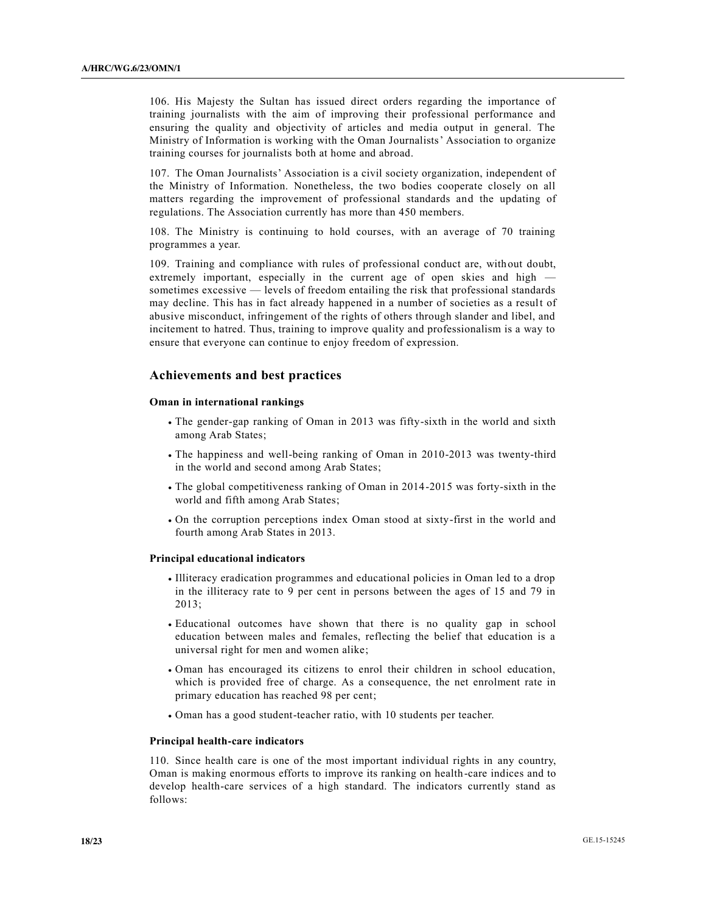106. His Majesty the Sultan has issued direct orders regarding the importance of training journalists with the aim of improving their professional performance and ensuring the quality and objectivity of articles and media output in general. The Ministry of Information is working with the Oman Journalists' Association to organize training courses for journalists both at home and abroad.

107. The Oman Journalists' Association is a civil society organization, independent of the Ministry of Information. Nonetheless, the two bodies cooperate closely on all matters regarding the improvement of professional standards and the updating of regulations. The Association currently has more than 450 members.

108. The Ministry is continuing to hold courses, with an average of 70 training programmes a year.

109. Training and compliance with rules of professional conduct are, without doubt, extremely important, especially in the current age of open skies and high sometimes excessive — levels of freedom entailing the risk that professional standards may decline. This has in fact already happened in a number of societies as a result of abusive misconduct, infringement of the rights of others through slander and libel, and incitement to hatred. Thus, training to improve quality and professionalism is a way to ensure that everyone can continue to enjoy freedom of expression.

### **Achievements and best practices**

#### **Oman in international rankings**

- The gender-gap ranking of Oman in 2013 was fifty-sixth in the world and sixth among Arab States;
- The happiness and well-being ranking of Oman in 2010-2013 was twenty-third in the world and second among Arab States;
- $\cdot$  The global competitiveness ranking of Oman in 2014-2015 was forty-sixth in the world and fifth among Arab States;
- x On the corruption perceptions index Oman stood at sixty-first in the world and fourth among Arab States in 2013.

#### **Principal educational indicators**

- x Illiteracy eradication programmes and educational policies in Oman led to a drop in the illiteracy rate to 9 per cent in persons between the ages of 15 and 79 in 2013;
- x Educational outcomes have shown that there is no quality gap in school education between males and females, reflecting the belief that education is a universal right for men and women alike;
- x Oman has encouraged its citizens to enrol their children in school education, which is provided free of charge. As a consequence, the net enrolment rate in primary education has reached 98 per cent;
- x Oman has a good student-teacher ratio, with 10 students per teacher.

#### **Principal health-care indicators**

110. Since health care is one of the most important individual rights in any country, Oman is making enormous efforts to improve its ranking on health-care indices and to develop health-care services of a high standard. The indicators currently stand as follows: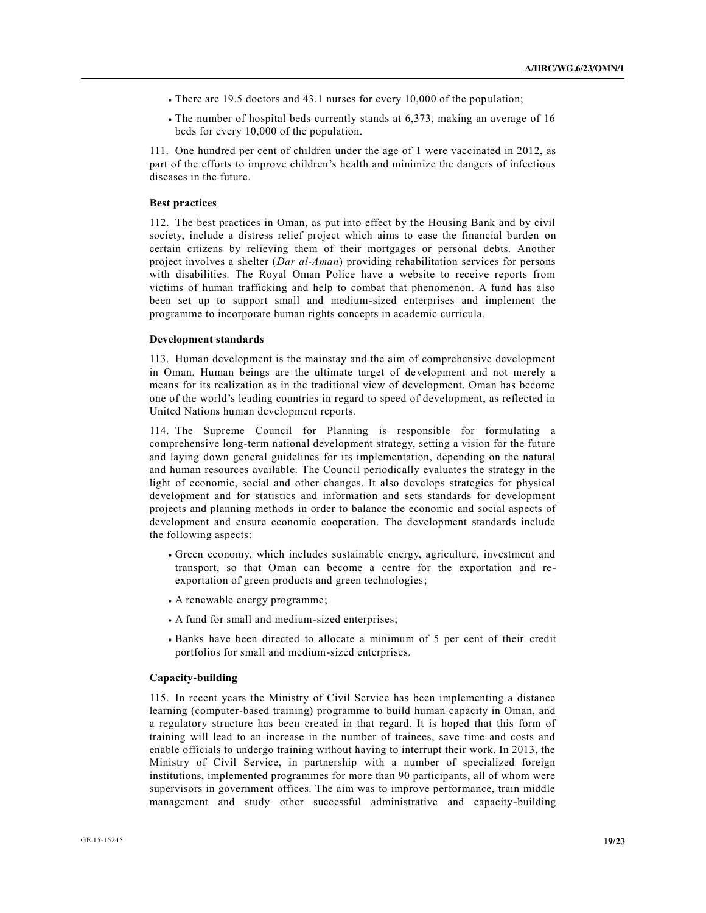- $\bullet$  There are 19.5 doctors and 43.1 nurses for every 10,000 of the population;
- x The number of hospital beds currently stands at 6,373, making an average of 16 beds for every 10,000 of the population.

111. One hundred per cent of children under the age of 1 were vaccinated in 2012, as part of the efforts to improve children's health and minimize the dangers of infectious diseases in the future.

#### **Best practices**

112. The best practices in Oman, as put into effect by the Housing Bank and by civil society, include a distress relief project which aims to ease the financial burden on certain citizens by relieving them of their mortgages or personal debts. Another project involves a shelter (*Dar al-Aman*) providing rehabilitation services for persons with disabilities. The Royal Oman Police have a website to receive reports from victims of human trafficking and help to combat that phenomenon. A fund has also been set up to support small and medium-sized enterprises and implement the programme to incorporate human rights concepts in academic curricula.

#### **Development standards**

113. Human development is the mainstay and the aim of comprehensive development in Oman. Human beings are the ultimate target of development and not merely a means for its realization as in the traditional view of development. Oman has become one of the world's leading countries in regard to speed of development, as reflected in United Nations human development reports.

114. The Supreme Council for Planning is responsible for formulating a comprehensive long-term national development strategy, setting a vision for the future and laying down general guidelines for its implementation, depending on the natural and human resources available. The Council periodically evaluates the strategy in the light of economic, social and other changes. It also develops strategies for physical development and for statistics and information and sets standards for development projects and planning methods in order to balance the economic and social aspects of development and ensure economic cooperation. The development standards include the following aspects:

- x Green economy, which includes sustainable energy, agriculture, investment and transport, so that Oman can become a centre for the exportation and reexportation of green products and green technologies;
- x A renewable energy programme;
- x A fund for small and medium-sized enterprises;
- x Banks have been directed to allocate a minimum of 5 per cent of their credit portfolios for small and medium-sized enterprises.

#### **Capacity-building**

115. In recent years the Ministry of Civil Service has been implementing a distance learning (computer-based training) programme to build human capacity in Oman, and a regulatory structure has been created in that regard. It is hoped that this form of training will lead to an increase in the number of trainees, save time and costs and enable officials to undergo training without having to interrupt their work. In 2013, the Ministry of Civil Service, in partnership with a number of specialized foreign institutions, implemented programmes for more than 90 participants, all of whom were supervisors in government offices. The aim was to improve performance, train middle management and study other successful administrative and capacity-building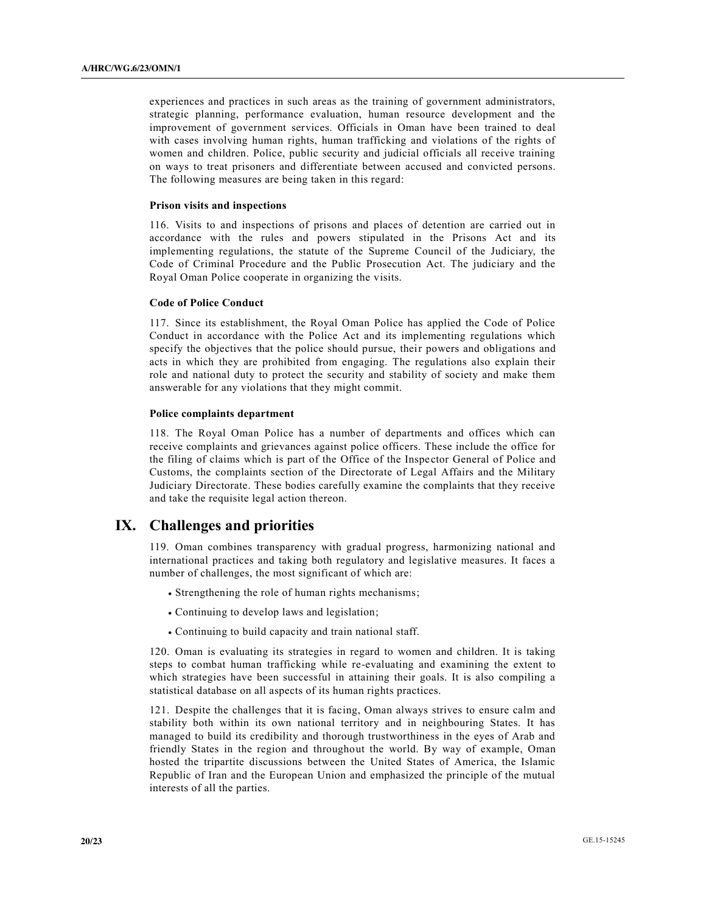experiences and practices in such areas as the training of government administrators, strategic planning, performance evaluation, human resource development and the improvement of government services. Officials in Oman have been trained to deal with cases involving human rights, human trafficking and violations of the rights of women and children. Police, public security and judicial officials all receive training on ways to treat prisoners and differentiate between accused and convicted persons. The following measures are being taken in this regard:

#### **Prison visits and inspections**

116. Visits to and inspections of prisons and places of detention are carried out in accordance with the rules and powers stipulated in the Prisons Act and its implementing regulations, the statute of the Supreme Council of the Judiciary, the Code of Criminal Procedure and the Public Prosecution Act. The judiciary and the Royal Oman Police cooperate in organizing the visits.

#### **Code of Police Conduct**

117. Since its establishment, the Royal Oman Police has applied the Code of Police Conduct in accordance with the Police Act and its implementing regulations which specify the objectives that the police should pursue, their powers and obligations and acts in which they are prohibited from engaging. The regulations also explain their role and national duty to protect the security and stability of society and make them answerable for any violations that they might commit.

#### **Police complaints department**

118. The Royal Oman Police has a number of departments and offices which can receive complaints and grievances against police officers. These include the office for the filing of claims which is part of the Office of the Inspe ctor General of Police and Customs, the complaints section of the Directorate of Legal Affairs and the Military Judiciary Directorate. These bodies carefully examine the complaints that they receive and take the requisite legal action thereon.

### **IX. Challenges and priorities**

119. Oman combines transparency with gradual progress, harmonizing national and international practices and taking both regulatory and legislative measures. It faces a number of challenges, the most significant of which are:

- Strengthening the role of human rights mechanisms;
- Continuing to develop laws and legislation;
- Continuing to build capacity and train national staff.

120. Oman is evaluating its strategies in regard to women and children. It is taking steps to combat human trafficking while re-evaluating and examining the extent to which strategies have been successful in attaining their goals. It is also compiling a statistical database on all aspects of its human rights practices.

121. Despite the challenges that it is facing, Oman always strives to ensure calm and stability both within its own national territory and in neighbouring States. It has managed to build its credibility and thorough trustworthiness in the eyes of Arab and friendly States in the region and throughout the world. By way of example, Oman hosted the tripartite discussions between the United States of America, the Islamic Republic of Iran and the European Union and emphasized the principle of the mutual interests of all the parties.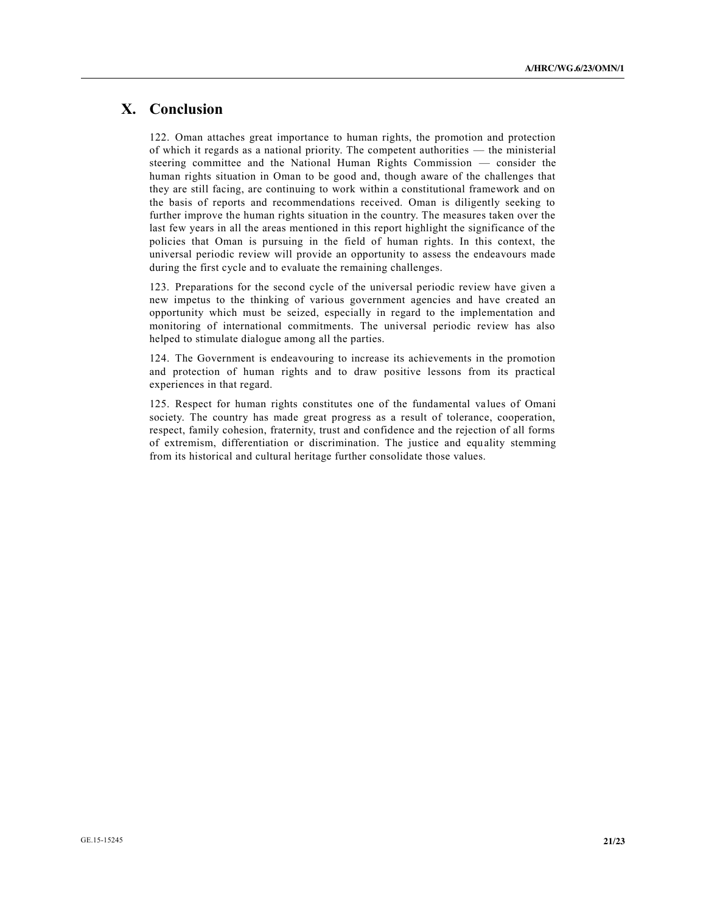## **X. Conclusion**

122. Oman attaches great importance to human rights, the promotion and protection of which it regards as a national priority. The competent authorities — the ministerial steering committee and the National Human Rights Commission — consider the human rights situation in Oman to be good and, though aware of the challenges that they are still facing, are continuing to work within a constitutional framework and on the basis of reports and recommendations received. Oman is diligently seeking to further improve the human rights situation in the country. The measures taken over the last few years in all the areas mentioned in this report highlight the significance of the policies that Oman is pursuing in the field of human rights. In this context, the universal periodic review will provide an opportunity to assess the endeavours made during the first cycle and to evaluate the remaining challenges.

123. Preparations for the second cycle of the universal periodic review have given a new impetus to the thinking of various government agencies and have created an opportunity which must be seized, especially in regard to the implementation and monitoring of international commitments. The universal periodic review has also helped to stimulate dialogue among all the parties.

124. The Government is endeavouring to increase its achievements in the promotion and protection of human rights and to draw positive lessons from its practical experiences in that regard.

125. Respect for human rights constitutes one of the fundamental values of Omani society. The country has made great progress as a result of tolerance, cooperation, respect, family cohesion, fraternity, trust and confidence and the rejection of all forms of extremism, differentiation or discrimination. The justice and equality stemming from its historical and cultural heritage further consolidate those values.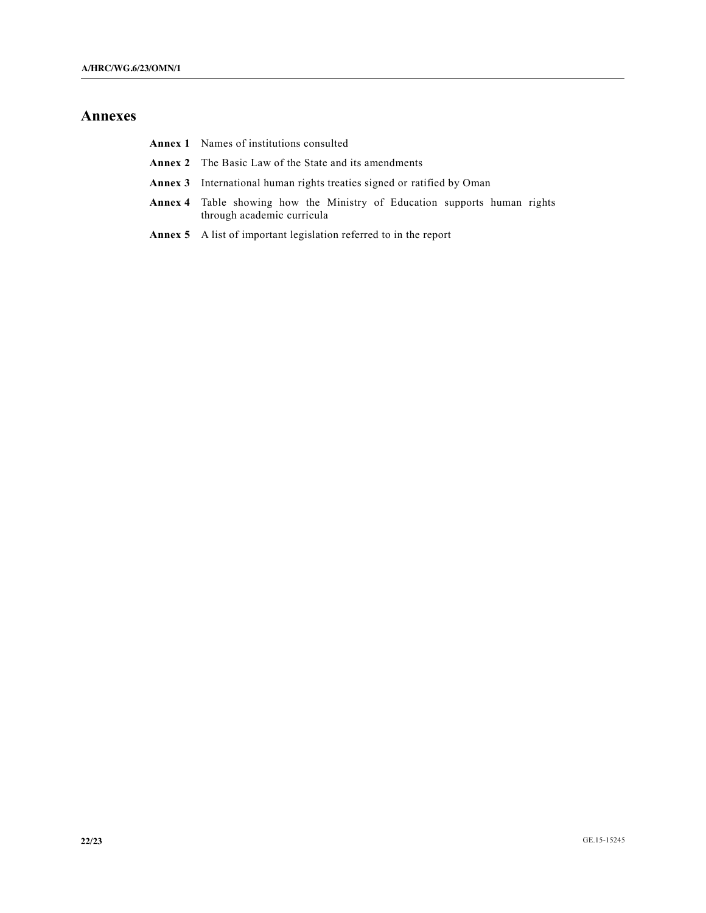## **Annexes**

- **Annex 1** Names of institutions consulted
- **Annex 2** The Basic Law of the State and its amendments
- **Annex 3** International human rights treaties signed or ratified by Oman
- **Annex 4** Table showing how the Ministry of Education supports human rights through academic curricula
- **Annex 5** A list of important legislation referred to in the report